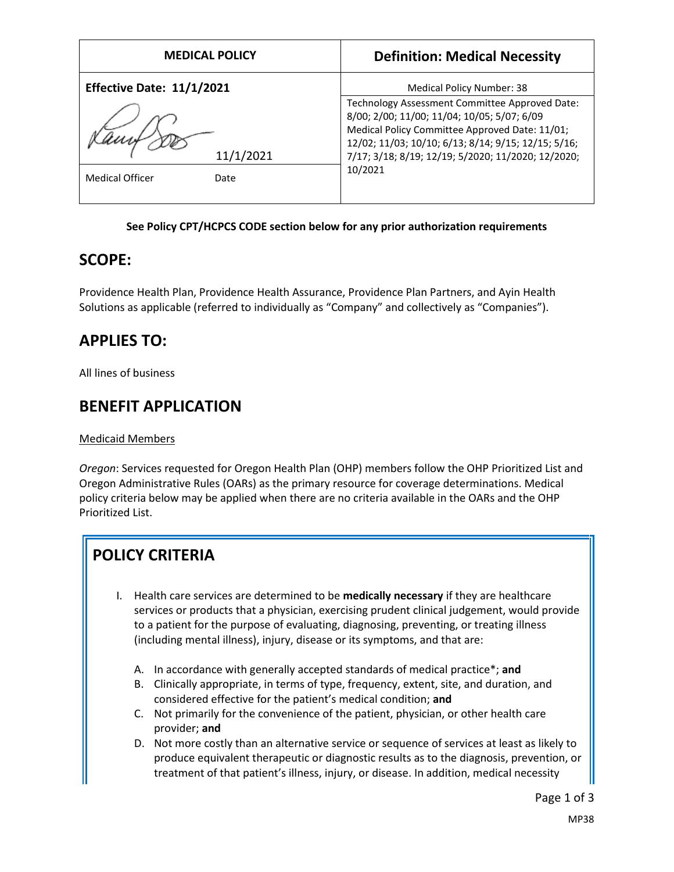| <b>MEDICAL POLICY</b>            | <b>Definition: Medical Necessity</b>                                                                                                                                                                                                                                    |
|----------------------------------|-------------------------------------------------------------------------------------------------------------------------------------------------------------------------------------------------------------------------------------------------------------------------|
| <b>Effective Date: 11/1/2021</b> | Medical Policy Number: 38                                                                                                                                                                                                                                               |
| 11/1/2021                        | Technology Assessment Committee Approved Date:<br>8/00; 2/00; 11/00; 11/04; 10/05; 5/07; 6/09<br>Medical Policy Committee Approved Date: 11/01;<br>12/02; 11/03; 10/10; 6/13; 8/14; 9/15; 12/15; 5/16;<br>7/17; 3/18; 8/19; 12/19; 5/2020; 11/2020; 12/2020;<br>10/2021 |
| <b>Medical Officer</b><br>Date   |                                                                                                                                                                                                                                                                         |

#### **See Policy CPT/HCPCS CODE section below for any prior authorization requirements**

### **SCOPE:**

Providence Health Plan, Providence Health Assurance, Providence Plan Partners, and Ayin Health Solutions as applicable (referred to individually as "Company" and collectively as "Companies").

# **APPLIES TO:**

All lines of business

## **BENEFIT APPLICATION**

#### Medicaid Members

*Oregon*: Services requested for Oregon Health Plan (OHP) members follow the OHP Prioritized List and Oregon Administrative Rules (OARs) as the primary resource for coverage determinations. Medical policy criteria below may be applied when there are no criteria available in the OARs and the OHP Prioritized List.

# **POLICY CRITERIA**

- I. Health care services are determined to be **medically necessary** if they are healthcare services or products that a physician, exercising prudent clinical judgement, would provide to a patient for the purpose of evaluating, diagnosing, preventing, or treating illness (including mental illness), injury, disease or its symptoms, and that are:
	- A. In accordance with generally accepted standards of medical practice\*; **and**
	- B. Clinically appropriate, in terms of type, frequency, extent, site, and duration, and considered effective for the patient's medical condition; **and**
	- C. Not primarily for the convenience of the patient, physician, or other health care provider; **and**
	- D. Not more costly than an alternative service or sequence of services at least as likely to produce equivalent therapeutic or diagnostic results as to the diagnosis, prevention, or treatment of that patient's illness, injury, or disease. In addition, medical necessity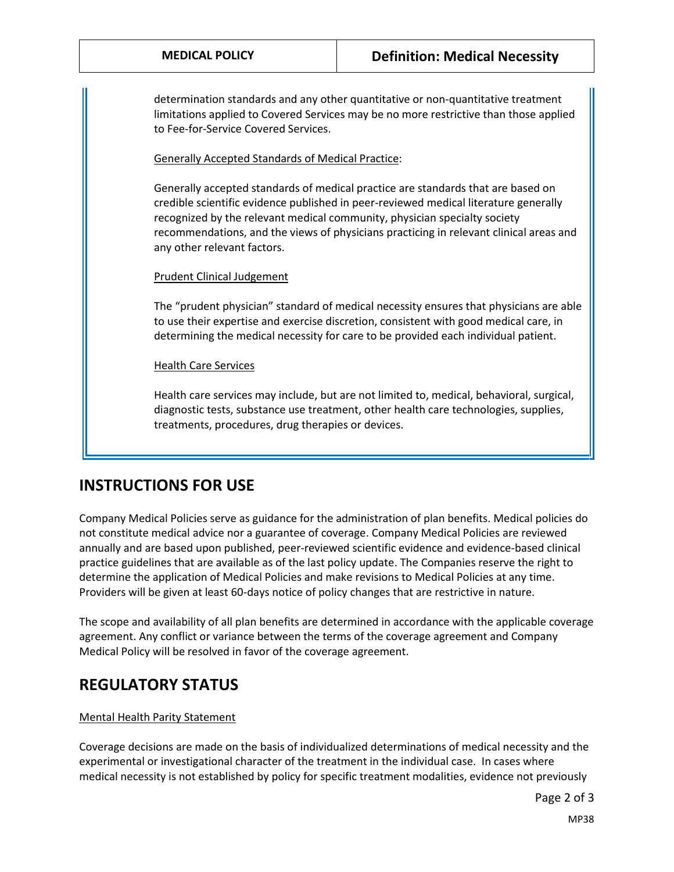determination standards and any other quantitative or non-quantitative treatment limitations applied to Covered Services may be no more restrictive than those applied to Fee-for-Service Covered Services.

Generally Accepted Standards of Medical Practice:

Generally accepted standards of medical practice are standards that are based on credible scientific evidence published in peer-reviewed medical literature generally recognized by the relevant medical community, physician specialty society recommendations, and the views of physicians practicing in relevant clinical areas and any other relevant factors.

#### Prudent Clinical Judgement

The "prudent physician" standard of medical necessity ensures that physicians are able to use their expertise and exercise discretion, consistent with good medical care, in determining the medical necessity for care to be provided each individual patient.

Health Care Services

Health care services may include, but are not limited to, medical, behavioral, surgical, diagnostic tests, substance use treatment, other health care technologies, supplies, treatments, procedures, drug therapies or devices.

### **INSTRUCTIONS FOR USE**

Company Medical Policies serve as guidance for the administration of plan benefits. Medical policies do not constitute medical advice nor a guarantee of coverage. Company Medical Policies are reviewed annually and are based upon published, peer-reviewed scientific evidence and evidence-based clinical practice guidelines that are available as of the last policy update. The Companies reserve the right to determine the application of Medical Policies and make revisions to Medical Policies at any time. Providers will be given at least 60-days notice of policy changes that are restrictive in nature.

The scope and availability of all plan benefits are determined in accordance with the applicable coverage agreement. Any conflict or variance between the terms of the coverage agreement and Company Medical Policy will be resolved in favor of the coverage agreement.

### **REGULATORY STATUS**

#### Mental Health Parity Statement

Coverage decisions are made on the basis of individualized determinations of medical necessity and the experimental or investigational character of the treatment in the individual case. In cases where medical necessity is not established by policy for specific treatment modalities, evidence not previously